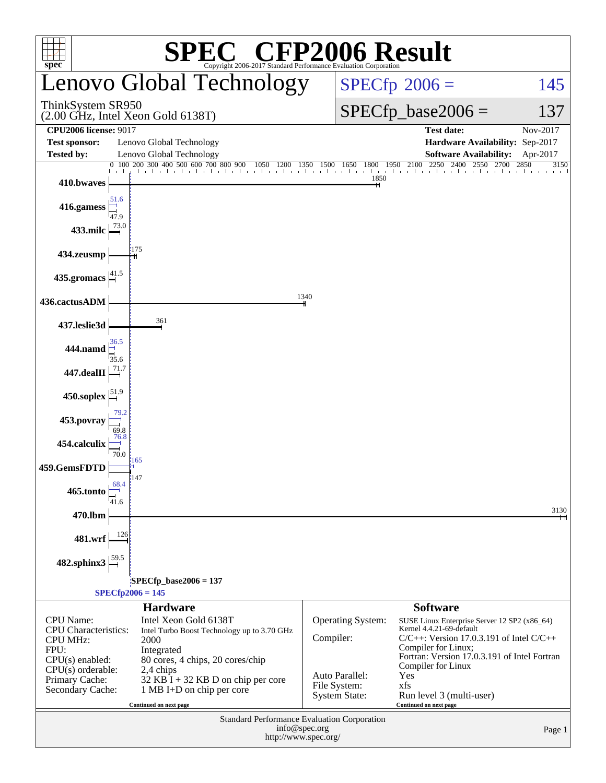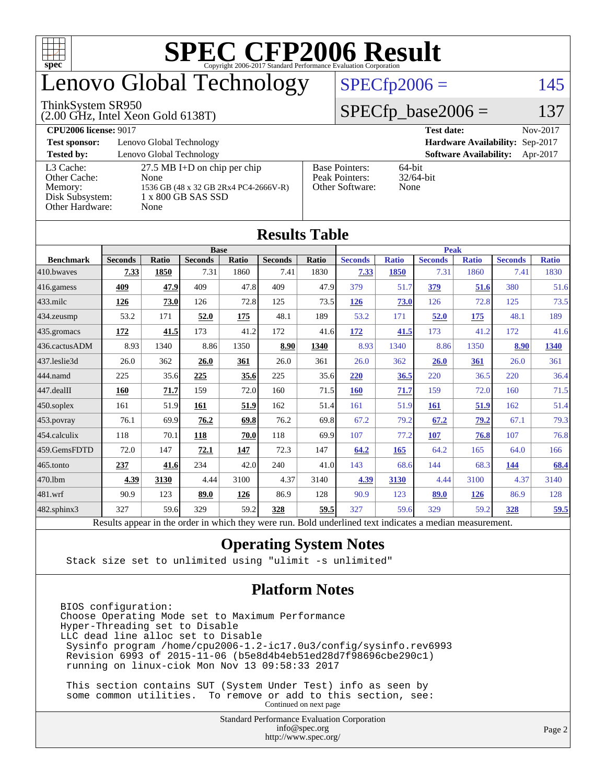

## enovo Global Technology

#### ThinkSystem SR950

(2.00 GHz, Intel Xeon Gold 6138T)

 $SPECfp2006 = 145$  $SPECfp2006 = 145$ 

#### $SPECfp\_base2006 = 137$

| <b>CPU2006 license: 9017</b> |                                       |                       | <b>Test date:</b><br>Nov-2017             |
|------------------------------|---------------------------------------|-----------------------|-------------------------------------------|
| <b>Test sponsor:</b>         | Lenovo Global Technology              |                       | Hardware Availability: Sep-2017           |
| <b>Tested by:</b>            | Lenovo Global Technology              |                       | <b>Software Availability:</b><br>Apr-2017 |
| L3 Cache:                    | $27.5$ MB I+D on chip per chip        | <b>Base Pointers:</b> | 64-bit                                    |
| Other Cache:                 | None                                  | Peak Pointers:        | $32/64$ -bit                              |
| Memory:                      | 1536 GB (48 x 32 GB 2Rx4 PC4-2666V-R) | Other Software:       | None                                      |
| Disk Subsystem:              | 1 x 800 GB SAS SSD                    |                       |                                           |
| Other Hardware:              | None                                  |                       |                                           |

**[Results Table](http://www.spec.org/auto/cpu2006/Docs/result-fields.html#ResultsTable)**

| Results Table          |                                                                                                          |              |                |       |                |       |                |              |                |              |                |              |
|------------------------|----------------------------------------------------------------------------------------------------------|--------------|----------------|-------|----------------|-------|----------------|--------------|----------------|--------------|----------------|--------------|
|                        |                                                                                                          | <b>Base</b>  |                |       |                |       | <b>Peak</b>    |              |                |              |                |              |
| <b>Benchmark</b>       | <b>Seconds</b>                                                                                           | <b>Ratio</b> | <b>Seconds</b> | Ratio | <b>Seconds</b> | Ratio | <b>Seconds</b> | <b>Ratio</b> | <b>Seconds</b> | <b>Ratio</b> | <b>Seconds</b> | <b>Ratio</b> |
| 410.bwaves             | 7.33                                                                                                     | 1850         | 7.31           | 1860  | 7.41           | 1830  | 7.33           | 1850         | 7.31           | 1860         | 7.41           | 1830         |
| $416$ .gamess          | 409                                                                                                      | 47.9         | 409            | 47.8  | 409            | 47.9  | 379            | 51.7         | 379            | 51.6         | 380            | 51.6         |
| $433$ .milc            | <u>126</u>                                                                                               | 73.0         | 126            | 72.8  | 125            | 73.5  | 126            | 73.0         | 126            | 72.8         | 125            | 73.5         |
| $434$ . zeusmp         | 53.2                                                                                                     | 171          | 52.0           | 175   | 48.1           | 189   | 53.2           | 171          | 52.0           | 175          | 48.1           | 189          |
| 435.gromacs            | 172                                                                                                      | 41.5         | 173            | 41.2  | 172            | 41.6  | 172            | 41.5         | 173            | 41.2         | 172            | 41.6         |
| 436.cactusADM          | 8.93                                                                                                     | 1340         | 8.86           | 1350  | 8.90           | 1340  | 8.93           | 1340         | 8.86           | 1350         | 8.90           | 1340         |
| 437.leslie3d           | 26.0                                                                                                     | 362          | 26.0           | 361   | 26.0           | 361   | 26.0           | 362          | <b>26.0</b>    | 361          | 26.0           | 361          |
| 444.namd               | 225                                                                                                      | 35.6         | 225            | 35.6  | 225            | 35.6  | 220            | 36.5         | 220            | 36.5         | 220            | 36.4         |
| $ 447 \text{.}$ dealII | 160                                                                                                      | 71.7         | 159            | 72.0  | 160            | 71.5  | <b>160</b>     | 71.7         | 159            | 72.0         | 160            | 71.5         |
| 450.soplex             | 161                                                                                                      | 51.9         | 161            | 51.9  | 162            | 51.4  | 161            | 51.9         | <b>161</b>     | 51.9         | 162            | 51.4         |
| 453.povray             | 76.1                                                                                                     | 69.9         | 76.2           | 69.8  | 76.2           | 69.8  | 67.2           | 79.2         | 67.2           | 79.2         | 67.1           | 79.3         |
| $ 454$ .calculix       | 118                                                                                                      | 70.1         | 118            | 70.0  | 118            | 69.9  | 107            | 77.2         | 107            | 76.8         | 107            | 76.8         |
| 459.GemsFDTD           | 72.0                                                                                                     | 147          | 72.1           | 147   | 72.3           | 147   | 64.2           | 165          | 64.2           | 165          | 64.0           | 166          |
| $465$ .tonto           | 237                                                                                                      | 41.6         | 234            | 42.0  | 240            | 41.0  | 143            | 68.6         | 144            | 68.3         | 144            | 68.4         |
| 470.1bm                | 4.39                                                                                                     | 3130         | 4.44           | 3100  | 4.37           | 3140  | 4.39           | 3130         | 4.44           | 3100         | 4.37           | 3140         |
| $ 481$ .wrf            | 90.9                                                                                                     | 123          | 89.0           | 126   | 86.9           | 128   | 90.9           | 123          | 89.0           | 126          | 86.9           | 128          |
| 482.sphinx3            | 327                                                                                                      | 59.6         | 329            | 59.2  | 328            | 59.5  | 327            | 59.6         | 329            | 59.2         | 328            | 59.5         |
|                        | Results appear in the order in which they were run. Bold underlined text indicates a median measurement. |              |                |       |                |       |                |              |                |              |                |              |

#### **[Operating System Notes](http://www.spec.org/auto/cpu2006/Docs/result-fields.html#OperatingSystemNotes)**

Stack size set to unlimited using "ulimit -s unlimited"

#### **[Platform Notes](http://www.spec.org/auto/cpu2006/Docs/result-fields.html#PlatformNotes)**

BIOS configuration: Choose Operating Mode set to Maximum Performance Hyper-Threading set to Disable LLC dead line alloc set to Disable Sysinfo program /home/cpu2006-1.2-ic17.0u3/config/sysinfo.rev6993 Revision 6993 of 2015-11-06 (b5e8d4b4eb51ed28d7f98696cbe290c1) running on linux-ciok Mon Nov 13 09:58:33 2017

 This section contains SUT (System Under Test) info as seen by some common utilities. To remove or add to this section, see: Continued on next page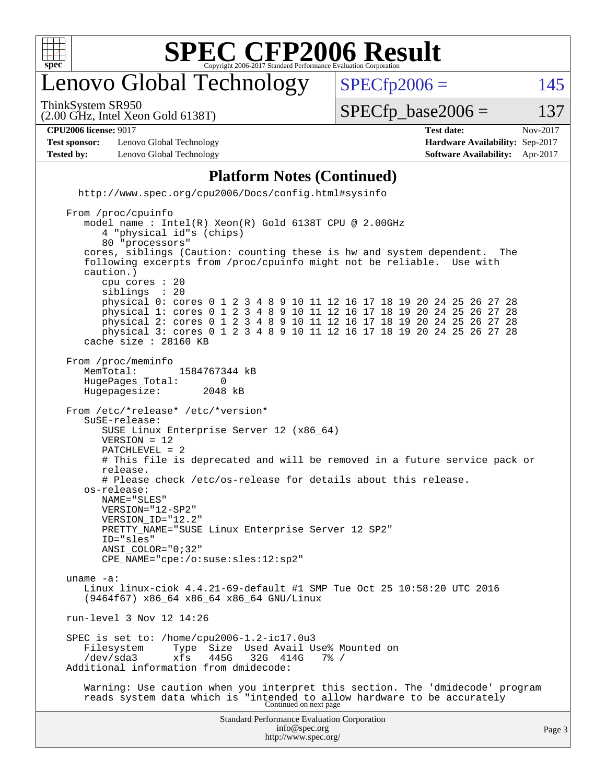

## enovo Global Technology

ThinkSystem SR950

 $SPECTp2006 = 145$ 

(2.00 GHz, Intel Xeon Gold 6138T)

 $SPECTp\_base2006 = 137$ 

| <b>CPU2006</b><br>9017<br>∕ license∙<br>. | date<br>`est<br>$-0.00$<br>. | .0017<br>Nov. |
|-------------------------------------------|------------------------------|---------------|

**[Test sponsor:](http://www.spec.org/auto/cpu2006/Docs/result-fields.html#Testsponsor)** Lenovo Global Technology **[Hardware Availability:](http://www.spec.org/auto/cpu2006/Docs/result-fields.html#HardwareAvailability)** Sep-2017 **[Tested by:](http://www.spec.org/auto/cpu2006/Docs/result-fields.html#Testedby)** Lenovo Global Technology **[Software Availability:](http://www.spec.org/auto/cpu2006/Docs/result-fields.html#SoftwareAvailability)** Apr-2017

**[Platform Notes \(Continued\)](http://www.spec.org/auto/cpu2006/Docs/result-fields.html#PlatformNotes)** <http://www.spec.org/cpu2006/Docs/config.html#sysinfo> From /proc/cpuinfo model name : Intel(R) Xeon(R) Gold 6138T CPU @ 2.00GHz 4 "physical id"s (chips) 80 "processors" cores, siblings (Caution: counting these is hw and system dependent. The following excerpts from /proc/cpuinfo might not be reliable. Use with caution.) cpu cores : 20 siblings physical 0: cores 0 1 2 3 4 8 9 10 11 12 16 17 18 19 20 24 25 26 27 28 physical 1: cores 0 1 2 3 4 8 9 10 11 12 16 17 18 19 20 24 25 26 27 28 physical 2: cores 0 1 2 3 4 8 9 10 11 12 16 17 18 19 20 24 25 26 27 28 physical 3: cores 0 1 2 3 4 8 9 10 11 12 16 17 18 19 20 24 25 26 27 28 cache size : 28160 KB From /proc/meminfo MemTotal: 1584767344 kB<br>HugePages Total: 0 HugePages\_Total: 0 Hugepagesize: 2048 kB From /etc/\*release\* /etc/\*version\* SuSE-release: SUSE Linux Enterprise Server 12 (x86\_64) VERSION = 12 PATCHLEVEL = 2 # This file is deprecated and will be removed in a future service pack or release. # Please check /etc/os-release for details about this release. os-release: NAME="SLES" VERSION="12-SP2" VERSION\_ID="12.2" PRETTY\_NAME="SUSE Linux Enterprise Server 12 SP2" ID="sles" ANSI\_COLOR="0;32" CPE\_NAME="cpe:/o:suse:sles:12:sp2" uname -a: Linux linux-ciok 4.4.21-69-default #1 SMP Tue Oct 25 10:58:20 UTC 2016 (9464f67) x86\_64 x86\_64 x86\_64 GNU/Linux run-level 3 Nov 12 14:26 SPEC is set to: /home/cpu2006-1.2-ic17.0u3 Type Size Used Avail Use% Mounted on  $xfs$  445G 32G 414G 7% / /dev/sda3 xfs 445G 32G 414G 7% / Additional information from dmidecode: Warning: Use caution when you interpret this section. The 'dmidecode' program reads system data which is "intended to allow hardware to be accurately Continued on next page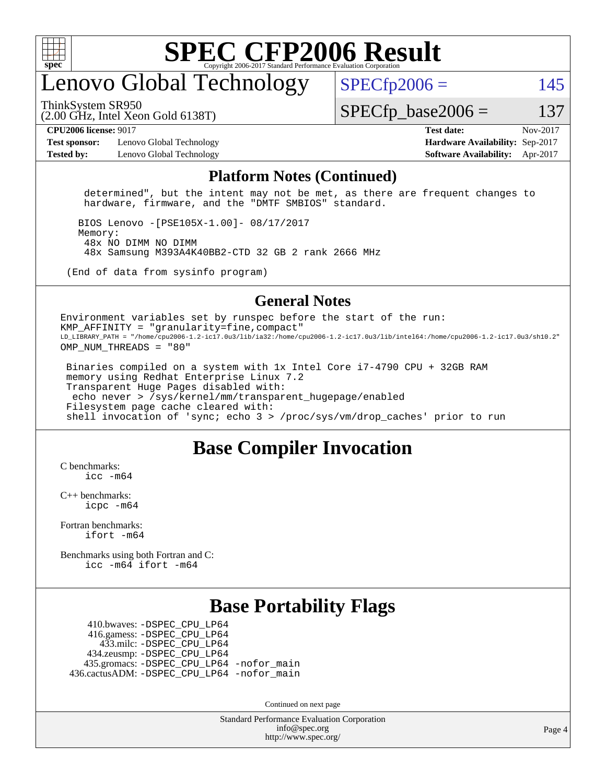

## enovo Global Technology

ThinkSystem SR950

 $SPECfp2006 = 145$  $SPECfp2006 = 145$ 

(2.00 GHz, Intel Xeon Gold 6138T)

 $SPECTp\_base2006 = 137$ 

**[Test sponsor:](http://www.spec.org/auto/cpu2006/Docs/result-fields.html#Testsponsor)** Lenovo Global Technology **[Hardware Availability:](http://www.spec.org/auto/cpu2006/Docs/result-fields.html#HardwareAvailability)** Sep-2017 **[Tested by:](http://www.spec.org/auto/cpu2006/Docs/result-fields.html#Testedby)** Lenovo Global Technology **[Software Availability:](http://www.spec.org/auto/cpu2006/Docs/result-fields.html#SoftwareAvailability)** Apr-2017

**[CPU2006 license:](http://www.spec.org/auto/cpu2006/Docs/result-fields.html#CPU2006license)** 9017 **[Test date:](http://www.spec.org/auto/cpu2006/Docs/result-fields.html#Testdate)** Nov-2017

#### **[Platform Notes \(Continued\)](http://www.spec.org/auto/cpu2006/Docs/result-fields.html#PlatformNotes)**

 determined", but the intent may not be met, as there are frequent changes to hardware, firmware, and the "DMTF SMBIOS" standard.

 BIOS Lenovo -[PSE105X-1.00]- 08/17/2017 Memory: 48x NO DIMM NO DIMM 48x Samsung M393A4K40BB2-CTD 32 GB 2 rank 2666 MHz

(End of data from sysinfo program)

#### **[General Notes](http://www.spec.org/auto/cpu2006/Docs/result-fields.html#GeneralNotes)**

Environment variables set by runspec before the start of the run: KMP AFFINITY = "granularity=fine, compact" LD\_LIBRARY\_PATH = "/home/cpu2006-1.2-ic17.0u3/lib/ia32:/home/cpu2006-1.2-ic17.0u3/lib/intel64:/home/cpu2006-1.2-ic17.0u3/sh10.2" OMP NUM THREADS = "80"

 Binaries compiled on a system with 1x Intel Core i7-4790 CPU + 32GB RAM memory using Redhat Enterprise Linux 7.2 Transparent Huge Pages disabled with: echo never > /sys/kernel/mm/transparent\_hugepage/enabled Filesystem page cache cleared with: shell invocation of 'sync; echo 3 > /proc/sys/vm/drop\_caches' prior to run

#### **[Base Compiler Invocation](http://www.spec.org/auto/cpu2006/Docs/result-fields.html#BaseCompilerInvocation)**

[C benchmarks](http://www.spec.org/auto/cpu2006/Docs/result-fields.html#Cbenchmarks):  $inc$   $-m64$ 

[C++ benchmarks:](http://www.spec.org/auto/cpu2006/Docs/result-fields.html#CXXbenchmarks) [icpc -m64](http://www.spec.org/cpu2006/results/res2017q4/cpu2006-20171128-50933.flags.html#user_CXXbase_intel_icpc_64bit_fc66a5337ce925472a5c54ad6a0de310)

[Fortran benchmarks](http://www.spec.org/auto/cpu2006/Docs/result-fields.html#Fortranbenchmarks): [ifort -m64](http://www.spec.org/cpu2006/results/res2017q4/cpu2006-20171128-50933.flags.html#user_FCbase_intel_ifort_64bit_ee9d0fb25645d0210d97eb0527dcc06e)

[Benchmarks using both Fortran and C](http://www.spec.org/auto/cpu2006/Docs/result-fields.html#BenchmarksusingbothFortranandC): [icc -m64](http://www.spec.org/cpu2006/results/res2017q4/cpu2006-20171128-50933.flags.html#user_CC_FCbase_intel_icc_64bit_bda6cc9af1fdbb0edc3795bac97ada53) [ifort -m64](http://www.spec.org/cpu2006/results/res2017q4/cpu2006-20171128-50933.flags.html#user_CC_FCbase_intel_ifort_64bit_ee9d0fb25645d0210d97eb0527dcc06e)

#### **[Base Portability Flags](http://www.spec.org/auto/cpu2006/Docs/result-fields.html#BasePortabilityFlags)**

 410.bwaves: [-DSPEC\\_CPU\\_LP64](http://www.spec.org/cpu2006/results/res2017q4/cpu2006-20171128-50933.flags.html#suite_basePORTABILITY410_bwaves_DSPEC_CPU_LP64) 416.gamess: [-DSPEC\\_CPU\\_LP64](http://www.spec.org/cpu2006/results/res2017q4/cpu2006-20171128-50933.flags.html#suite_basePORTABILITY416_gamess_DSPEC_CPU_LP64) 433.milc: [-DSPEC\\_CPU\\_LP64](http://www.spec.org/cpu2006/results/res2017q4/cpu2006-20171128-50933.flags.html#suite_basePORTABILITY433_milc_DSPEC_CPU_LP64) 434.zeusmp: [-DSPEC\\_CPU\\_LP64](http://www.spec.org/cpu2006/results/res2017q4/cpu2006-20171128-50933.flags.html#suite_basePORTABILITY434_zeusmp_DSPEC_CPU_LP64) 435.gromacs: [-DSPEC\\_CPU\\_LP64](http://www.spec.org/cpu2006/results/res2017q4/cpu2006-20171128-50933.flags.html#suite_basePORTABILITY435_gromacs_DSPEC_CPU_LP64) [-nofor\\_main](http://www.spec.org/cpu2006/results/res2017q4/cpu2006-20171128-50933.flags.html#user_baseLDPORTABILITY435_gromacs_f-nofor_main) 436.cactusADM: [-DSPEC\\_CPU\\_LP64](http://www.spec.org/cpu2006/results/res2017q4/cpu2006-20171128-50933.flags.html#suite_basePORTABILITY436_cactusADM_DSPEC_CPU_LP64) [-nofor\\_main](http://www.spec.org/cpu2006/results/res2017q4/cpu2006-20171128-50933.flags.html#user_baseLDPORTABILITY436_cactusADM_f-nofor_main)

Continued on next page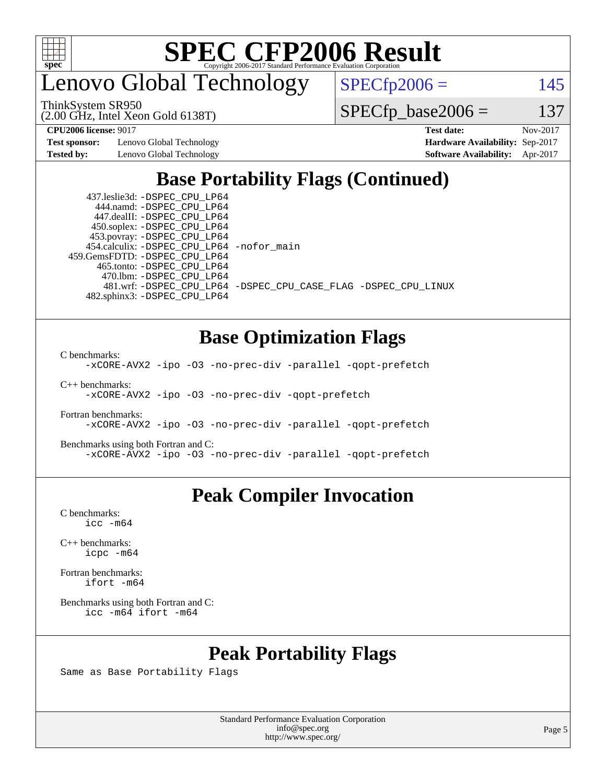

enovo Global Technology

 $SPECfp2006 = 145$  $SPECfp2006 = 145$ 

ThinkSystem SR950

(2.00 GHz, Intel Xeon Gold 6138T)

**[Test sponsor:](http://www.spec.org/auto/cpu2006/Docs/result-fields.html#Testsponsor)** Lenovo Global Technology **[Hardware Availability:](http://www.spec.org/auto/cpu2006/Docs/result-fields.html#HardwareAvailability)** Sep-2017

 $SPECTp\_base2006 = 137$ **[CPU2006 license:](http://www.spec.org/auto/cpu2006/Docs/result-fields.html#CPU2006license)** 9017 **[Test date:](http://www.spec.org/auto/cpu2006/Docs/result-fields.html#Testdate)** Nov-2017

**[Tested by:](http://www.spec.org/auto/cpu2006/Docs/result-fields.html#Testedby)** Lenovo Global Technology **[Software Availability:](http://www.spec.org/auto/cpu2006/Docs/result-fields.html#SoftwareAvailability)** Apr-2017

### **[Base Portability Flags \(Continued\)](http://www.spec.org/auto/cpu2006/Docs/result-fields.html#BasePortabilityFlags)**

 437.leslie3d: [-DSPEC\\_CPU\\_LP64](http://www.spec.org/cpu2006/results/res2017q4/cpu2006-20171128-50933.flags.html#suite_basePORTABILITY437_leslie3d_DSPEC_CPU_LP64) 444.namd: [-DSPEC\\_CPU\\_LP64](http://www.spec.org/cpu2006/results/res2017q4/cpu2006-20171128-50933.flags.html#suite_basePORTABILITY444_namd_DSPEC_CPU_LP64) 447.dealII: [-DSPEC\\_CPU\\_LP64](http://www.spec.org/cpu2006/results/res2017q4/cpu2006-20171128-50933.flags.html#suite_basePORTABILITY447_dealII_DSPEC_CPU_LP64) 450.soplex: [-DSPEC\\_CPU\\_LP64](http://www.spec.org/cpu2006/results/res2017q4/cpu2006-20171128-50933.flags.html#suite_basePORTABILITY450_soplex_DSPEC_CPU_LP64) 453.povray: [-DSPEC\\_CPU\\_LP64](http://www.spec.org/cpu2006/results/res2017q4/cpu2006-20171128-50933.flags.html#suite_basePORTABILITY453_povray_DSPEC_CPU_LP64) 454.calculix: [-DSPEC\\_CPU\\_LP64](http://www.spec.org/cpu2006/results/res2017q4/cpu2006-20171128-50933.flags.html#suite_basePORTABILITY454_calculix_DSPEC_CPU_LP64) [-nofor\\_main](http://www.spec.org/cpu2006/results/res2017q4/cpu2006-20171128-50933.flags.html#user_baseLDPORTABILITY454_calculix_f-nofor_main) 459.GemsFDTD: [-DSPEC\\_CPU\\_LP64](http://www.spec.org/cpu2006/results/res2017q4/cpu2006-20171128-50933.flags.html#suite_basePORTABILITY459_GemsFDTD_DSPEC_CPU_LP64) 465.tonto: [-DSPEC\\_CPU\\_LP64](http://www.spec.org/cpu2006/results/res2017q4/cpu2006-20171128-50933.flags.html#suite_basePORTABILITY465_tonto_DSPEC_CPU_LP64) 470.lbm: [-DSPEC\\_CPU\\_LP64](http://www.spec.org/cpu2006/results/res2017q4/cpu2006-20171128-50933.flags.html#suite_basePORTABILITY470_lbm_DSPEC_CPU_LP64) 482.sphinx3: [-DSPEC\\_CPU\\_LP64](http://www.spec.org/cpu2006/results/res2017q4/cpu2006-20171128-50933.flags.html#suite_basePORTABILITY482_sphinx3_DSPEC_CPU_LP64)

481.wrf: [-DSPEC\\_CPU\\_LP64](http://www.spec.org/cpu2006/results/res2017q4/cpu2006-20171128-50933.flags.html#suite_basePORTABILITY481_wrf_DSPEC_CPU_LP64) [-DSPEC\\_CPU\\_CASE\\_FLAG](http://www.spec.org/cpu2006/results/res2017q4/cpu2006-20171128-50933.flags.html#b481.wrf_baseCPORTABILITY_DSPEC_CPU_CASE_FLAG) [-DSPEC\\_CPU\\_LINUX](http://www.spec.org/cpu2006/results/res2017q4/cpu2006-20171128-50933.flags.html#b481.wrf_baseCPORTABILITY_DSPEC_CPU_LINUX)

#### **[Base Optimization Flags](http://www.spec.org/auto/cpu2006/Docs/result-fields.html#BaseOptimizationFlags)**

[C benchmarks](http://www.spec.org/auto/cpu2006/Docs/result-fields.html#Cbenchmarks):

[-xCORE-AVX2](http://www.spec.org/cpu2006/results/res2017q4/cpu2006-20171128-50933.flags.html#user_CCbase_f-xCORE-AVX2) [-ipo](http://www.spec.org/cpu2006/results/res2017q4/cpu2006-20171128-50933.flags.html#user_CCbase_f-ipo) [-O3](http://www.spec.org/cpu2006/results/res2017q4/cpu2006-20171128-50933.flags.html#user_CCbase_f-O3) [-no-prec-div](http://www.spec.org/cpu2006/results/res2017q4/cpu2006-20171128-50933.flags.html#user_CCbase_f-no-prec-div) [-parallel](http://www.spec.org/cpu2006/results/res2017q4/cpu2006-20171128-50933.flags.html#user_CCbase_f-parallel) [-qopt-prefetch](http://www.spec.org/cpu2006/results/res2017q4/cpu2006-20171128-50933.flags.html#user_CCbase_f-qopt-prefetch)

[C++ benchmarks:](http://www.spec.org/auto/cpu2006/Docs/result-fields.html#CXXbenchmarks)

[-xCORE-AVX2](http://www.spec.org/cpu2006/results/res2017q4/cpu2006-20171128-50933.flags.html#user_CXXbase_f-xCORE-AVX2) [-ipo](http://www.spec.org/cpu2006/results/res2017q4/cpu2006-20171128-50933.flags.html#user_CXXbase_f-ipo) [-O3](http://www.spec.org/cpu2006/results/res2017q4/cpu2006-20171128-50933.flags.html#user_CXXbase_f-O3) [-no-prec-div](http://www.spec.org/cpu2006/results/res2017q4/cpu2006-20171128-50933.flags.html#user_CXXbase_f-no-prec-div) [-qopt-prefetch](http://www.spec.org/cpu2006/results/res2017q4/cpu2006-20171128-50933.flags.html#user_CXXbase_f-qopt-prefetch)

[Fortran benchmarks](http://www.spec.org/auto/cpu2006/Docs/result-fields.html#Fortranbenchmarks): [-xCORE-AVX2](http://www.spec.org/cpu2006/results/res2017q4/cpu2006-20171128-50933.flags.html#user_FCbase_f-xCORE-AVX2) [-ipo](http://www.spec.org/cpu2006/results/res2017q4/cpu2006-20171128-50933.flags.html#user_FCbase_f-ipo) [-O3](http://www.spec.org/cpu2006/results/res2017q4/cpu2006-20171128-50933.flags.html#user_FCbase_f-O3) [-no-prec-div](http://www.spec.org/cpu2006/results/res2017q4/cpu2006-20171128-50933.flags.html#user_FCbase_f-no-prec-div) [-parallel](http://www.spec.org/cpu2006/results/res2017q4/cpu2006-20171128-50933.flags.html#user_FCbase_f-parallel) [-qopt-prefetch](http://www.spec.org/cpu2006/results/res2017q4/cpu2006-20171128-50933.flags.html#user_FCbase_f-qopt-prefetch)

[Benchmarks using both Fortran and C](http://www.spec.org/auto/cpu2006/Docs/result-fields.html#BenchmarksusingbothFortranandC): [-xCORE-AVX2](http://www.spec.org/cpu2006/results/res2017q4/cpu2006-20171128-50933.flags.html#user_CC_FCbase_f-xCORE-AVX2) [-ipo](http://www.spec.org/cpu2006/results/res2017q4/cpu2006-20171128-50933.flags.html#user_CC_FCbase_f-ipo) [-O3](http://www.spec.org/cpu2006/results/res2017q4/cpu2006-20171128-50933.flags.html#user_CC_FCbase_f-O3) [-no-prec-div](http://www.spec.org/cpu2006/results/res2017q4/cpu2006-20171128-50933.flags.html#user_CC_FCbase_f-no-prec-div) [-parallel](http://www.spec.org/cpu2006/results/res2017q4/cpu2006-20171128-50933.flags.html#user_CC_FCbase_f-parallel) [-qopt-prefetch](http://www.spec.org/cpu2006/results/res2017q4/cpu2006-20171128-50933.flags.html#user_CC_FCbase_f-qopt-prefetch)

#### **[Peak Compiler Invocation](http://www.spec.org/auto/cpu2006/Docs/result-fields.html#PeakCompilerInvocation)**

[C benchmarks](http://www.spec.org/auto/cpu2006/Docs/result-fields.html#Cbenchmarks): [icc -m64](http://www.spec.org/cpu2006/results/res2017q4/cpu2006-20171128-50933.flags.html#user_CCpeak_intel_icc_64bit_bda6cc9af1fdbb0edc3795bac97ada53)

[C++ benchmarks:](http://www.spec.org/auto/cpu2006/Docs/result-fields.html#CXXbenchmarks) [icpc -m64](http://www.spec.org/cpu2006/results/res2017q4/cpu2006-20171128-50933.flags.html#user_CXXpeak_intel_icpc_64bit_fc66a5337ce925472a5c54ad6a0de310)

[Fortran benchmarks](http://www.spec.org/auto/cpu2006/Docs/result-fields.html#Fortranbenchmarks): [ifort -m64](http://www.spec.org/cpu2006/results/res2017q4/cpu2006-20171128-50933.flags.html#user_FCpeak_intel_ifort_64bit_ee9d0fb25645d0210d97eb0527dcc06e)

[Benchmarks using both Fortran and C](http://www.spec.org/auto/cpu2006/Docs/result-fields.html#BenchmarksusingbothFortranandC): [icc -m64](http://www.spec.org/cpu2006/results/res2017q4/cpu2006-20171128-50933.flags.html#user_CC_FCpeak_intel_icc_64bit_bda6cc9af1fdbb0edc3795bac97ada53) [ifort -m64](http://www.spec.org/cpu2006/results/res2017q4/cpu2006-20171128-50933.flags.html#user_CC_FCpeak_intel_ifort_64bit_ee9d0fb25645d0210d97eb0527dcc06e)

#### **[Peak Portability Flags](http://www.spec.org/auto/cpu2006/Docs/result-fields.html#PeakPortabilityFlags)**

Same as Base Portability Flags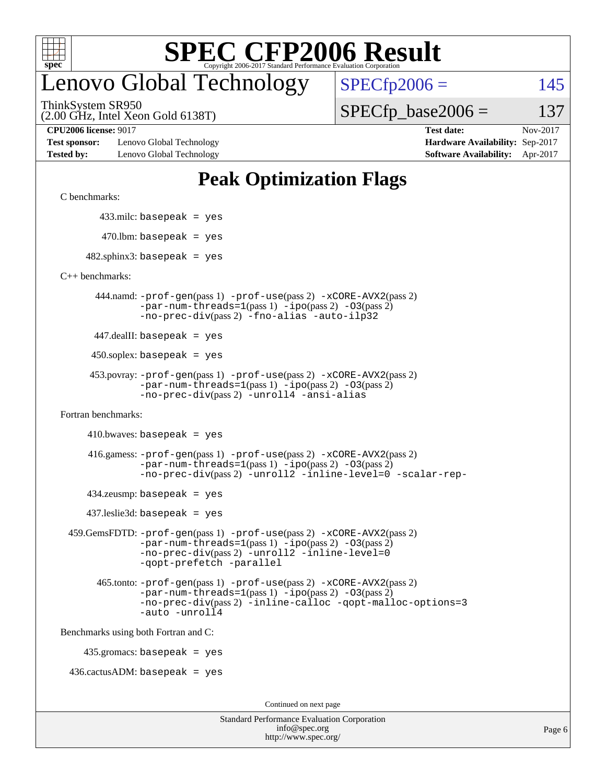

## enovo Global Technology

 $SPECfp2006 = 145$  $SPECfp2006 = 145$ 

(2.00 GHz, Intel Xeon Gold 6138T) ThinkSystem SR950

 $SPECTp\_base2006 = 137$ 

**[Test sponsor:](http://www.spec.org/auto/cpu2006/Docs/result-fields.html#Testsponsor)** Lenovo Global Technology **[Hardware Availability:](http://www.spec.org/auto/cpu2006/Docs/result-fields.html#HardwareAvailability)** Sep-2017 **[Tested by:](http://www.spec.org/auto/cpu2006/Docs/result-fields.html#Testedby)** Lenovo Global Technology **[Software Availability:](http://www.spec.org/auto/cpu2006/Docs/result-fields.html#SoftwareAvailability)** Apr-2017

**[CPU2006 license:](http://www.spec.org/auto/cpu2006/Docs/result-fields.html#CPU2006license)** 9017 **[Test date:](http://www.spec.org/auto/cpu2006/Docs/result-fields.html#Testdate)** Nov-2017

### **[Peak Optimization Flags](http://www.spec.org/auto/cpu2006/Docs/result-fields.html#PeakOptimizationFlags)**

[C benchmarks](http://www.spec.org/auto/cpu2006/Docs/result-fields.html#Cbenchmarks):

433.milc: basepeak = yes

 $470.$ lbm: basepeak = yes

 $482$ .sphinx3: basepeak = yes

[C++ benchmarks:](http://www.spec.org/auto/cpu2006/Docs/result-fields.html#CXXbenchmarks)

 444.namd: [-prof-gen](http://www.spec.org/cpu2006/results/res2017q4/cpu2006-20171128-50933.flags.html#user_peakPASS1_CXXFLAGSPASS1_LDFLAGS444_namd_prof_gen_e43856698f6ca7b7e442dfd80e94a8fc)(pass 1) [-prof-use](http://www.spec.org/cpu2006/results/res2017q4/cpu2006-20171128-50933.flags.html#user_peakPASS2_CXXFLAGSPASS2_LDFLAGS444_namd_prof_use_bccf7792157ff70d64e32fe3e1250b55)(pass 2) [-xCORE-AVX2](http://www.spec.org/cpu2006/results/res2017q4/cpu2006-20171128-50933.flags.html#user_peakPASS2_CXXFLAGSPASS2_LDFLAGS444_namd_f-xCORE-AVX2)(pass 2)  $-par-num-threads=1(pass 1) -ipo(pass 2) -O3(pass 2)$  $-par-num-threads=1(pass 1) -ipo(pass 2) -O3(pass 2)$  $-par-num-threads=1(pass 1) -ipo(pass 2) -O3(pass 2)$  $-par-num-threads=1(pass 1) -ipo(pass 2) -O3(pass 2)$  $-par-num-threads=1(pass 1) -ipo(pass 2) -O3(pass 2)$  $-par-num-threads=1(pass 1) -ipo(pass 2) -O3(pass 2)$ [-no-prec-div](http://www.spec.org/cpu2006/results/res2017q4/cpu2006-20171128-50933.flags.html#user_peakPASS2_CXXFLAGSPASS2_LDFLAGS444_namd_f-no-prec-div)(pass 2) [-fno-alias](http://www.spec.org/cpu2006/results/res2017q4/cpu2006-20171128-50933.flags.html#user_peakCXXOPTIMIZEOPTIMIZE444_namd_f-no-alias_694e77f6c5a51e658e82ccff53a9e63a) [-auto-ilp32](http://www.spec.org/cpu2006/results/res2017q4/cpu2006-20171128-50933.flags.html#user_peakCXXOPTIMIZE444_namd_f-auto-ilp32)

447.dealII: basepeak = yes

 $450$ .soplex: basepeak = yes

```
 453.povray: -prof-gen(pass 1) -prof-use(pass 2) -xCORE-AVX2(pass 2)
-par-num-threads=1-ipo-O3(pass 2)-no-prec-div(pass 2) -unroll4 -ansi-alias
```
[Fortran benchmarks](http://www.spec.org/auto/cpu2006/Docs/result-fields.html#Fortranbenchmarks):

 $410.bwaves: basepeak = yes$ 

 416.gamess: [-prof-gen](http://www.spec.org/cpu2006/results/res2017q4/cpu2006-20171128-50933.flags.html#user_peakPASS1_FFLAGSPASS1_LDFLAGS416_gamess_prof_gen_e43856698f6ca7b7e442dfd80e94a8fc)(pass 1) [-prof-use](http://www.spec.org/cpu2006/results/res2017q4/cpu2006-20171128-50933.flags.html#user_peakPASS2_FFLAGSPASS2_LDFLAGS416_gamess_prof_use_bccf7792157ff70d64e32fe3e1250b55)(pass 2) [-xCORE-AVX2](http://www.spec.org/cpu2006/results/res2017q4/cpu2006-20171128-50933.flags.html#user_peakPASS2_FFLAGSPASS2_LDFLAGS416_gamess_f-xCORE-AVX2)(pass 2)  $-par-num-threads=1(pass 1) -ipo(pass 2) -O3(pass 2)$  $-par-num-threads=1(pass 1) -ipo(pass 2) -O3(pass 2)$  $-par-num-threads=1(pass 1) -ipo(pass 2) -O3(pass 2)$  $-par-num-threads=1(pass 1) -ipo(pass 2) -O3(pass 2)$  $-par-num-threads=1(pass 1) -ipo(pass 2) -O3(pass 2)$  $-par-num-threads=1(pass 1) -ipo(pass 2) -O3(pass 2)$ [-no-prec-div](http://www.spec.org/cpu2006/results/res2017q4/cpu2006-20171128-50933.flags.html#user_peakPASS2_FFLAGSPASS2_LDFLAGS416_gamess_f-no-prec-div)(pass 2) [-unroll2](http://www.spec.org/cpu2006/results/res2017q4/cpu2006-20171128-50933.flags.html#user_peakOPTIMIZE416_gamess_f-unroll_784dae83bebfb236979b41d2422d7ec2) [-inline-level=0](http://www.spec.org/cpu2006/results/res2017q4/cpu2006-20171128-50933.flags.html#user_peakOPTIMIZE416_gamess_f-inline-level_318d07a09274ad25e8d15dbfaa68ba50) [-scalar-rep-](http://www.spec.org/cpu2006/results/res2017q4/cpu2006-20171128-50933.flags.html#user_peakOPTIMIZE416_gamess_f-disablescalarrep_abbcad04450fb118e4809c81d83c8a1d)

 $434$ .zeusmp: basepeak = yes

437.leslie3d: basepeak = yes

```
 459.GemsFDTD: -prof-gen(pass 1) -prof-use(pass 2) -xCORE-AVX2(pass 2)
   -par-num-threads=1-ipo-O3(pass 2)-no-prec-div(pass 2) -unroll2 -inline-level=0
   -qopt-prefetch -parallel
```
 465.tonto: [-prof-gen](http://www.spec.org/cpu2006/results/res2017q4/cpu2006-20171128-50933.flags.html#user_peakPASS1_FFLAGSPASS1_LDFLAGS465_tonto_prof_gen_e43856698f6ca7b7e442dfd80e94a8fc)(pass 1) [-prof-use](http://www.spec.org/cpu2006/results/res2017q4/cpu2006-20171128-50933.flags.html#user_peakPASS2_FFLAGSPASS2_LDFLAGS465_tonto_prof_use_bccf7792157ff70d64e32fe3e1250b55)(pass 2) [-xCORE-AVX2](http://www.spec.org/cpu2006/results/res2017q4/cpu2006-20171128-50933.flags.html#user_peakPASS2_FFLAGSPASS2_LDFLAGS465_tonto_f-xCORE-AVX2)(pass 2)  $-par-num-threads=1(pass 1) -ipo(pass 2) -O3(pass 2)$  $-par-num-threads=1(pass 1) -ipo(pass 2) -O3(pass 2)$  $-par-num-threads=1(pass 1) -ipo(pass 2) -O3(pass 2)$  $-par-num-threads=1(pass 1) -ipo(pass 2) -O3(pass 2)$  $-par-num-threads=1(pass 1) -ipo(pass 2) -O3(pass 2)$  $-par-num-threads=1(pass 1) -ipo(pass 2) -O3(pass 2)$ [-no-prec-div](http://www.spec.org/cpu2006/results/res2017q4/cpu2006-20171128-50933.flags.html#user_peakPASS2_FFLAGSPASS2_LDFLAGS465_tonto_f-no-prec-div)(pass 2) [-inline-calloc](http://www.spec.org/cpu2006/results/res2017q4/cpu2006-20171128-50933.flags.html#user_peakOPTIMIZE465_tonto_f-inline-calloc) [-qopt-malloc-options=3](http://www.spec.org/cpu2006/results/res2017q4/cpu2006-20171128-50933.flags.html#user_peakOPTIMIZE465_tonto_f-qopt-malloc-options_0fcb435012e78f27d57f473818e45fe4) [-auto](http://www.spec.org/cpu2006/results/res2017q4/cpu2006-20171128-50933.flags.html#user_peakOPTIMIZE465_tonto_f-auto) [-unroll4](http://www.spec.org/cpu2006/results/res2017q4/cpu2006-20171128-50933.flags.html#user_peakOPTIMIZE465_tonto_f-unroll_4e5e4ed65b7fd20bdcd365bec371b81f)

[Benchmarks using both Fortran and C](http://www.spec.org/auto/cpu2006/Docs/result-fields.html#BenchmarksusingbothFortranandC):

435.gromacs: basepeak = yes

 $436.cactusADM:basepeak = yes$ 

Continued on next page

| <b>Standard Performance Evaluation Corporation</b> |
|----------------------------------------------------|
| info@spec.org                                      |
| http://www.spec.org/                               |